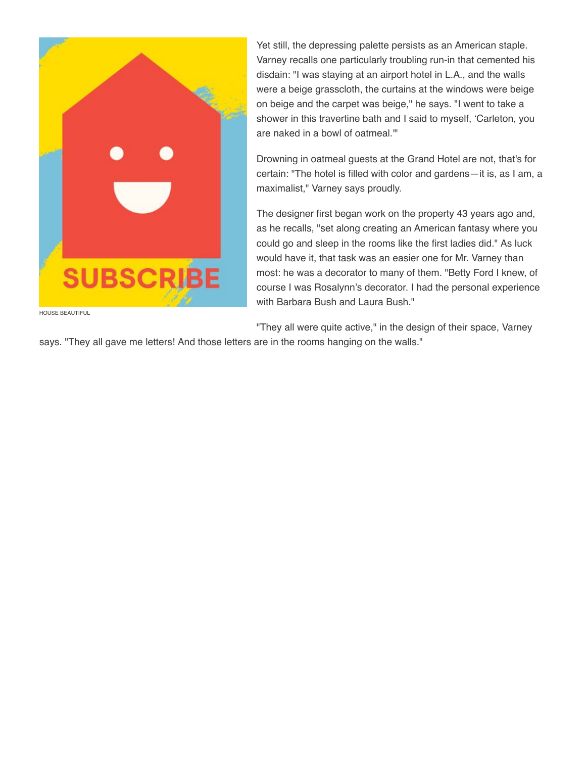

HOUSE BEAUTIFUL

Yet still, the depressing palette persists as an American staple. Varney recalls one particularly troubling run-in that cemented his disdain: "I was staying at an airport hotel in L.A., and the walls were a beige grasscloth, the curtains at the windows were beige on beige and the carpet was beige," he says. "I went to take a shower in this travertine bath and I said to myself, 'Carleton, you are naked in a bowl of oatmeal.'"

Drowning in oatmeal guests at the Grand Hotel are not, that's for certain: "The hotel is filled with color and gardens—it is, as I am, a maximalist," Varney says proudly.

The designer first began work on the property 43 years ago and, as he recalls, "set along creating an American fantasy where you could go and sleep in the rooms like the first ladies did." As luck would have it, that task was an easier one for Mr. Varney than most: he was a decorator to many of them. "Betty Ford I knew, of course I was Rosalynn's decorator. I had the personal experience with Barbara Bush and Laura Bush."

"They all were quite active," in the design of their space, Varney

says. "They all gave me letters! And those letters are in the rooms hanging on the walls."